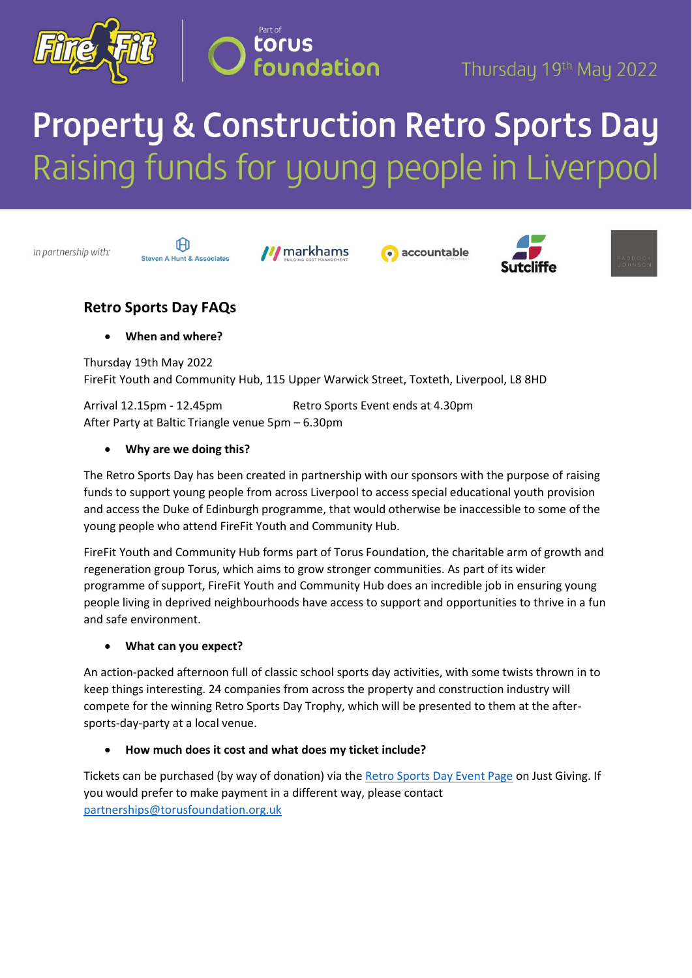



# **Property & Construction Retro Sports Day** Raising funds for young people in Liverpool

In partnership with:



**M** markhams







## **Retro Sports Day FAQs**

• **When and where?** 

Thursday 19th May 2022 FireFit Youth and Community Hub, 115 Upper Warwick Street, Toxteth, Liverpool, L8 8HD

Arrival 12.15pm - 12.45pm Retro Sports Event ends at 4.30pm After Party at Baltic Triangle venue 5pm – 6.30pm

## • **Why are we doing this?**

The Retro Sports Day has been created in partnership with our sponsors with the purpose of raising funds to support young people from across Liverpool to access special educational youth provision and access the Duke of Edinburgh programme, that would otherwise be inaccessible to some of the young people who attend FireFit Youth and Community Hub.

FireFit Youth and Community Hub forms part of Torus Foundation, the charitable arm of growth and regeneration group Torus, which aims to grow stronger communities. As part of its wider programme of support, FireFit Youth and Community Hub does an incredible job in ensuring young people living in deprived neighbourhoods have access to support and opportunities to thrive in a fun and safe environment.

## • **What can you expect?**

An action-packed afternoon full of classic school sports day activities, with some twists thrown in to keep things interesting. 24 companies from across the property and construction industry will compete for the winning Retro Sports Day Trophy, which will be presented to them at the aftersports-day-party at a local venue.

## • **How much does it cost and what does my ticket include?**

Tickets can be purchased (by way of donation) via the [Retro Sports Day Event Page](https://www.justgiving.com/campaign/retrosportsday) on Just Giving. If you would prefer to make payment in a different way, please contact [partnerships@torusfoundation.org.uk](mailto:partnerships@torusfoundation.org.uk)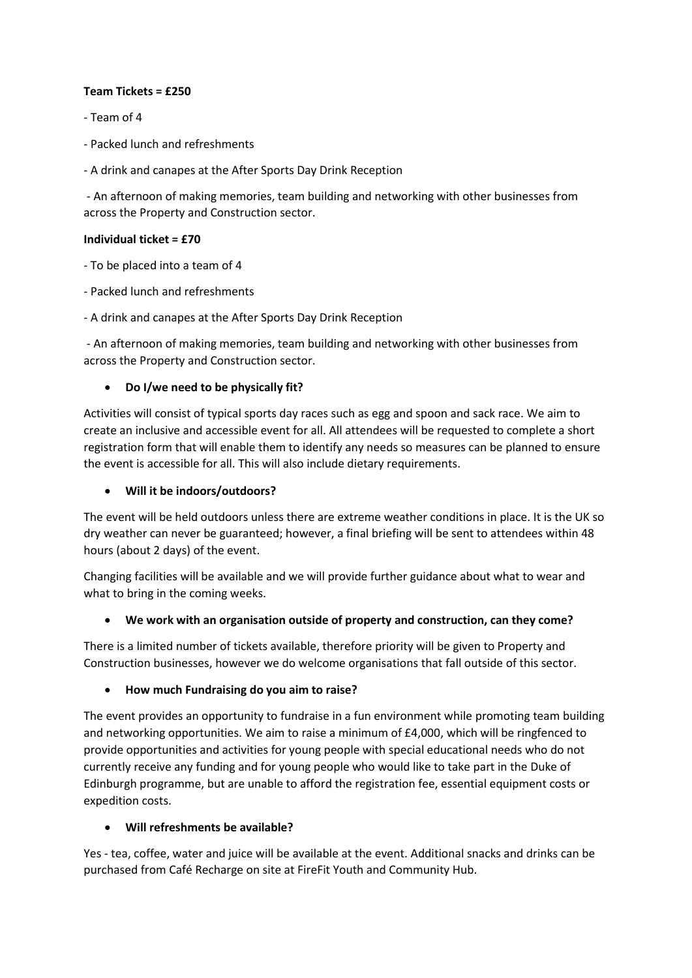#### **Team Tickets = £250**

- Team of 4
- Packed lunch and refreshments
- A drink and canapes at the After Sports Day Drink Reception

- An afternoon of making memories, team building and networking with other businesses from across the Property and Construction sector.

#### **Individual ticket = £70**

- To be placed into a team of 4

- Packed lunch and refreshments
- A drink and canapes at the After Sports Day Drink Reception

- An afternoon of making memories, team building and networking with other businesses from across the Property and Construction sector.

#### • **Do I/we need to be physically fit?**

Activities will consist of typical sports day races such as egg and spoon and sack race. We aim to create an inclusive and accessible event for all. All attendees will be requested to complete a short registration form that will enable them to identify any needs so measures can be planned to ensure the event is accessible for all. This will also include dietary requirements.

#### • **Will it be indoors/outdoors?**

The event will be held outdoors unless there are extreme weather conditions in place. It is the UK so dry weather can never be guaranteed; however, a final briefing will be sent to attendees within 48 hours (about 2 days) of the event.

Changing facilities will be available and we will provide further guidance about what to wear and what to bring in the coming weeks.

#### • **We work with an organisation outside of property and construction, can they come?**

There is a limited number of tickets available, therefore priority will be given to Property and Construction businesses, however we do welcome organisations that fall outside of this sector.

#### • **How much Fundraising do you aim to raise?**

The event provides an opportunity to fundraise in a fun environment while promoting team building and networking opportunities. We aim to raise a minimum of £4,000, which will be ringfenced to provide opportunities and activities for young people with special educational needs who do not currently receive any funding and for young people who would like to take part in the Duke of Edinburgh programme, but are unable to afford the registration fee, essential equipment costs or expedition costs.

#### • **Will refreshments be available?**

Yes - tea, coffee, water and juice will be available at the event. Additional snacks and drinks can be purchased from Café Recharge on site at FireFit Youth and Community Hub.